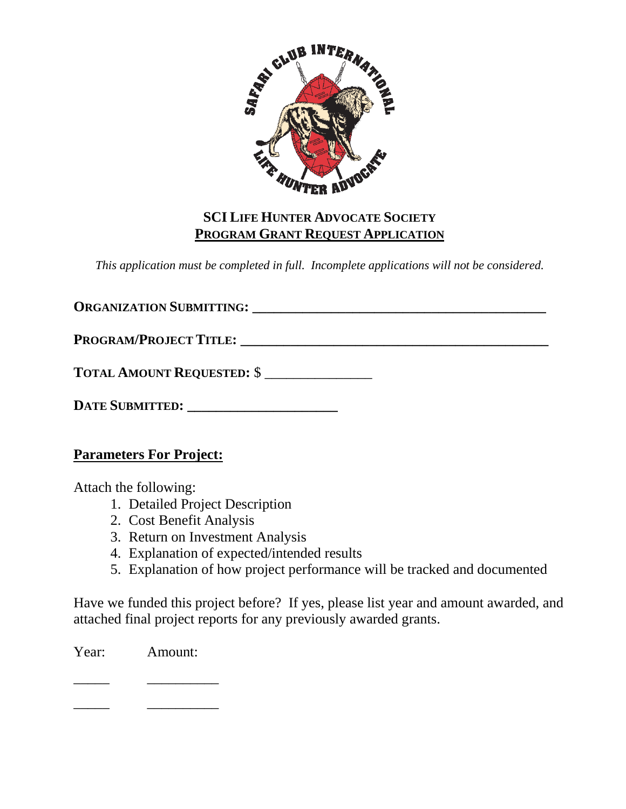

### **SCI LIFE HUNTER ADVOCATE SOCIETY PROGRAM GRANT REQUEST APPLICATION**

*This application must be completed in full. Incomplete applications will not be considered.* 

**ORGANIZATION SUBMITTING:**  $\qquad \qquad$ PROGRAM/PROJECT TITLE:

**TOTAL AMOUNT REQUESTED:** \$ \_\_\_\_\_\_\_\_\_\_\_\_\_\_\_

**DATE SUBMITTED: \_\_\_\_\_\_\_\_\_\_\_\_\_\_\_\_\_\_\_\_\_**

**Parameters For Project:**

Attach the following:

- 1. Detailed Project Description
- 2. Cost Benefit Analysis
- 3. Return on Investment Analysis
- 4. Explanation of expected/intended results
- 5. Explanation of how project performance will be tracked and documented

Have we funded this project before? If yes, please list year and amount awarded, and attached final project reports for any previously awarded grants.

Year: Amount:

\_\_\_\_\_ \_\_\_\_\_\_\_\_\_\_

\_\_\_\_\_ \_\_\_\_\_\_\_\_\_\_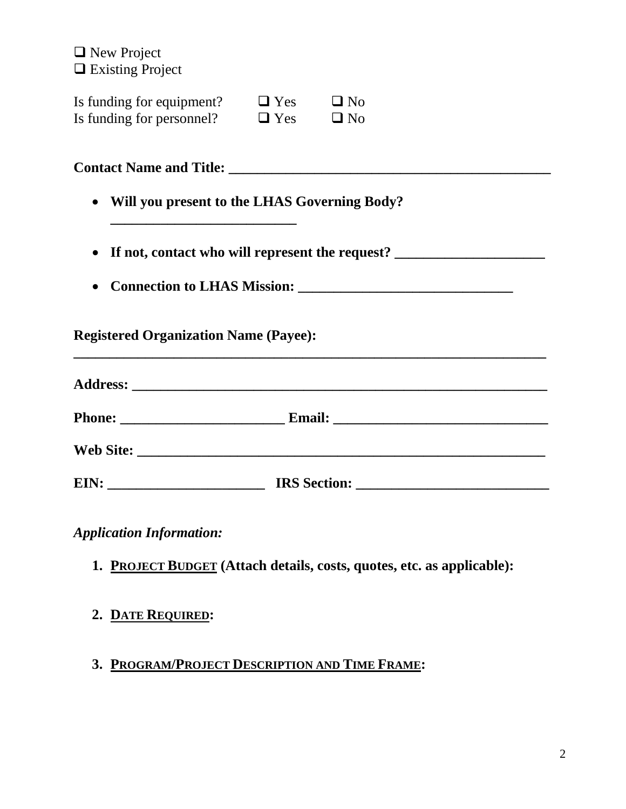**New Project Existing Project** 

| Is funding for equipment? | $\Box$ Yes | $\Box$ No |
|---------------------------|------------|-----------|
| Is funding for personnel? | $\Box$ Yes | $\Box$ No |

|           | <b>Contact Name and Title:</b>                    |
|-----------|---------------------------------------------------|
| $\bullet$ | Will you present to the LHAS Governing Body?      |
|           | • If not, contact who will represent the request? |
| $\bullet$ | <b>Connection to LHAS Mission:</b>                |
|           | <b>Registered Organization Name (Payee):</b>      |

| <b>Phone:</b><br><u> 1989 - Johann Barbara, martin amerikan ba</u>                                                            |                     |  |
|-------------------------------------------------------------------------------------------------------------------------------|---------------------|--|
| <b>Web Site:</b>                                                                                                              |                     |  |
| EIN:<br><u> 1989 - Johann Harry Harry Harry Harry Harry Harry Harry Harry Harry Harry Harry Harry Harry Harry Harry Harry</u> | <b>IRS</b> Section: |  |

*Application Information:*

- **1. PROJECT BUDGET (Attach details, costs, quotes, etc. as applicable):**
- **2. DATE REQUIRED:**
- **3. PROGRAM/PROJECT DESCRIPTION AND TIME FRAME:**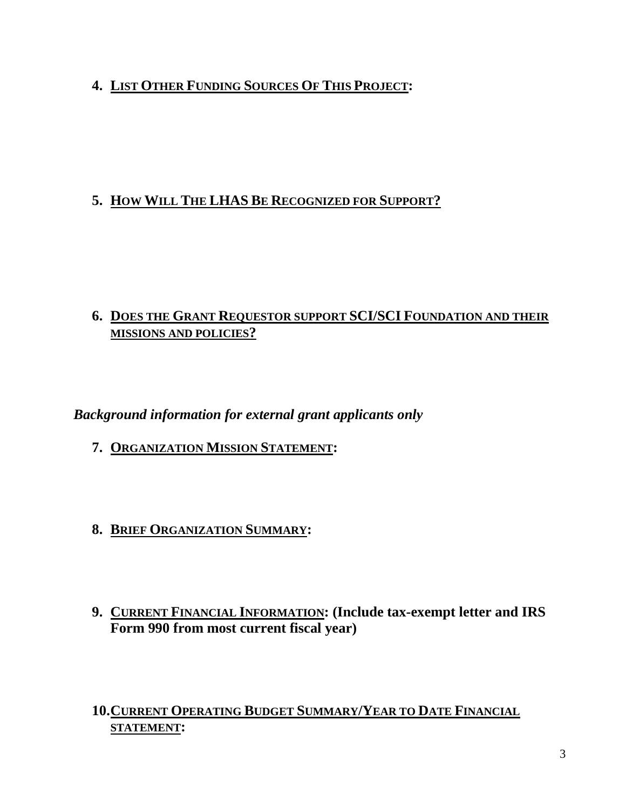# **4. LIST OTHER FUNDING SOURCES OF THIS PROJECT:**

## **5. HOW WILL THE LHAS BE RECOGNIZED FOR SUPPORT?**

### **6. DOES THE GRANT REQUESTOR SUPPORT SCI/SCI FOUNDATION AND THEIR MISSIONS AND POLICIES?**

*Background information for external grant applicants only*

- **7. ORGANIZATION MISSION STATEMENT:**
- **8. BRIEF ORGANIZATION SUMMARY:**
- **9. CURRENT FINANCIAL INFORMATION: (Include tax-exempt letter and IRS Form 990 from most current fiscal year)**

**10.CURRENT OPERATING BUDGET SUMMARY/YEAR TO DATE FINANCIAL STATEMENT:**